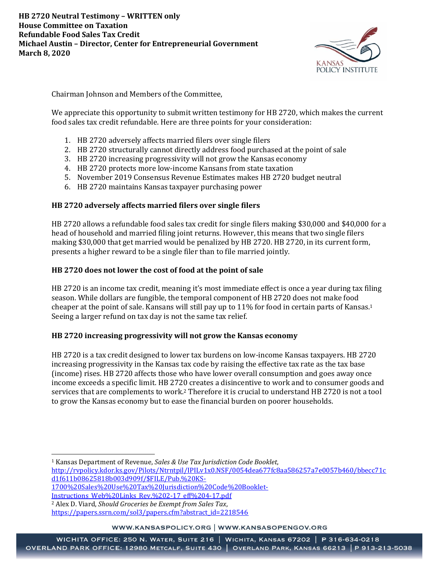

Chairman Johnson and Members of the Committee,

We appreciate this opportunity to submit written testimony for HB 2720, which makes the current food sales tax credit refundable. Here are three points for your consideration:

- 1. HB 2720 adversely affects married filers over single filers
- 2. HB 2720 structurally cannot directly address food purchased at the point of sale
- 3. HB 2720 increasing progressivity will not grow the Kansas economy
- 4. HB 2720 protects more low-income Kansans from state taxation
- 5. November 2019 Consensus Revenue Estimates makes HB 2720 budget neutral
- 6. HB 2720 maintains Kansas taxpayer purchasing power

# **HB 2720 adversely affects married filers over single filers**

HB 2720 allows a refundable food sales tax credit for single filers making \$30,000 and \$40,000 for a head of household and married filing joint returns. However, this means that two single filers making \$30,000 that get married would be penalized by HB 2720. HB 2720, in its current form, presents a higher reward to be a single filer than to file married jointly.

# **HB 2720 does not lower the cost of food at the point of sale**

HB 2720 is an income tax credit, meaning it's most immediate effect is once a year during tax filing season. While dollars are fungible, the temporal component of HB 2720 does not make food cheaper at the point of sale. Kansans will still pay up to 11% for food in certain parts of Kansas. 1 Seeing a larger refund on tax day is not the same tax relief.

## **HB 2720 increasing progressivity will not grow the Kansas economy**

HB 2720 is a tax credit designed to lower tax burdens on low-income Kansas taxpayers. HB 2720 increasing progressivity in the Kansas tax code by raising the effective tax rate as the tax base (income) rises. HB 2720 affects those who have lower overall consumption and goes away once income exceeds a specific limit. HB 2720 creates a disincentive to work and to consumer goods and services that are complements to work.<sup>2</sup> Therefore it is crucial to understand HB 2720 is not a tool to grow the Kansas economy but to ease the financial burden on poorer households.

WWW.KANSASPOLICY.ORG | WWW.KANSASOPENGOV.ORG

<sup>1</sup> Kansas Department of Revenue, *Sales & Use Tax Jurisdiction Code Booklet*, [http://rvpolicy.kdor.ks.gov/Pilots/Ntrntpil/IPILv1x0.NSF/0054dea677fc8aa586257a7e0057b460/bbecc71c](http://rvpolicy.kdor.ks.gov/Pilots/Ntrntpil/IPILv1x0.NSF/0054dea677fc8aa586257a7e0057b460/bbecc71cd1f611b08625818b003d909f/$FILE/Pub.%20KS-1700%20Sales%20Use%20Tax%20Jurisdiction%20Code%20Booklet-Instructions_Web%20Links_Rev.%202-17_eff%204-17.pdf) [d1f611b08625818b003d909f/\\$FILE/Pub.%20KS-](http://rvpolicy.kdor.ks.gov/Pilots/Ntrntpil/IPILv1x0.NSF/0054dea677fc8aa586257a7e0057b460/bbecc71cd1f611b08625818b003d909f/$FILE/Pub.%20KS-1700%20Sales%20Use%20Tax%20Jurisdiction%20Code%20Booklet-Instructions_Web%20Links_Rev.%202-17_eff%204-17.pdf)

[<sup>1700%20</sup>Sales%20Use%20Tax%20Jurisdiction%20Code%20Booklet-](http://rvpolicy.kdor.ks.gov/Pilots/Ntrntpil/IPILv1x0.NSF/0054dea677fc8aa586257a7e0057b460/bbecc71cd1f611b08625818b003d909f/$FILE/Pub.%20KS-1700%20Sales%20Use%20Tax%20Jurisdiction%20Code%20Booklet-Instructions_Web%20Links_Rev.%202-17_eff%204-17.pdf)

[Instructions\\_Web%20Links\\_Rev.%202-17\\_eff%204-17.pdf](http://rvpolicy.kdor.ks.gov/Pilots/Ntrntpil/IPILv1x0.NSF/0054dea677fc8aa586257a7e0057b460/bbecc71cd1f611b08625818b003d909f/$FILE/Pub.%20KS-1700%20Sales%20Use%20Tax%20Jurisdiction%20Code%20Booklet-Instructions_Web%20Links_Rev.%202-17_eff%204-17.pdf)

<sup>2</sup> Alex D. Viard, *Should Groceries be Exempt from Sales Tax*,

[https://papers.ssrn.com/sol3/papers.cfm?abstract\\_id=2218546](https://papers.ssrn.com/sol3/papers.cfm?abstract_id=2218546)